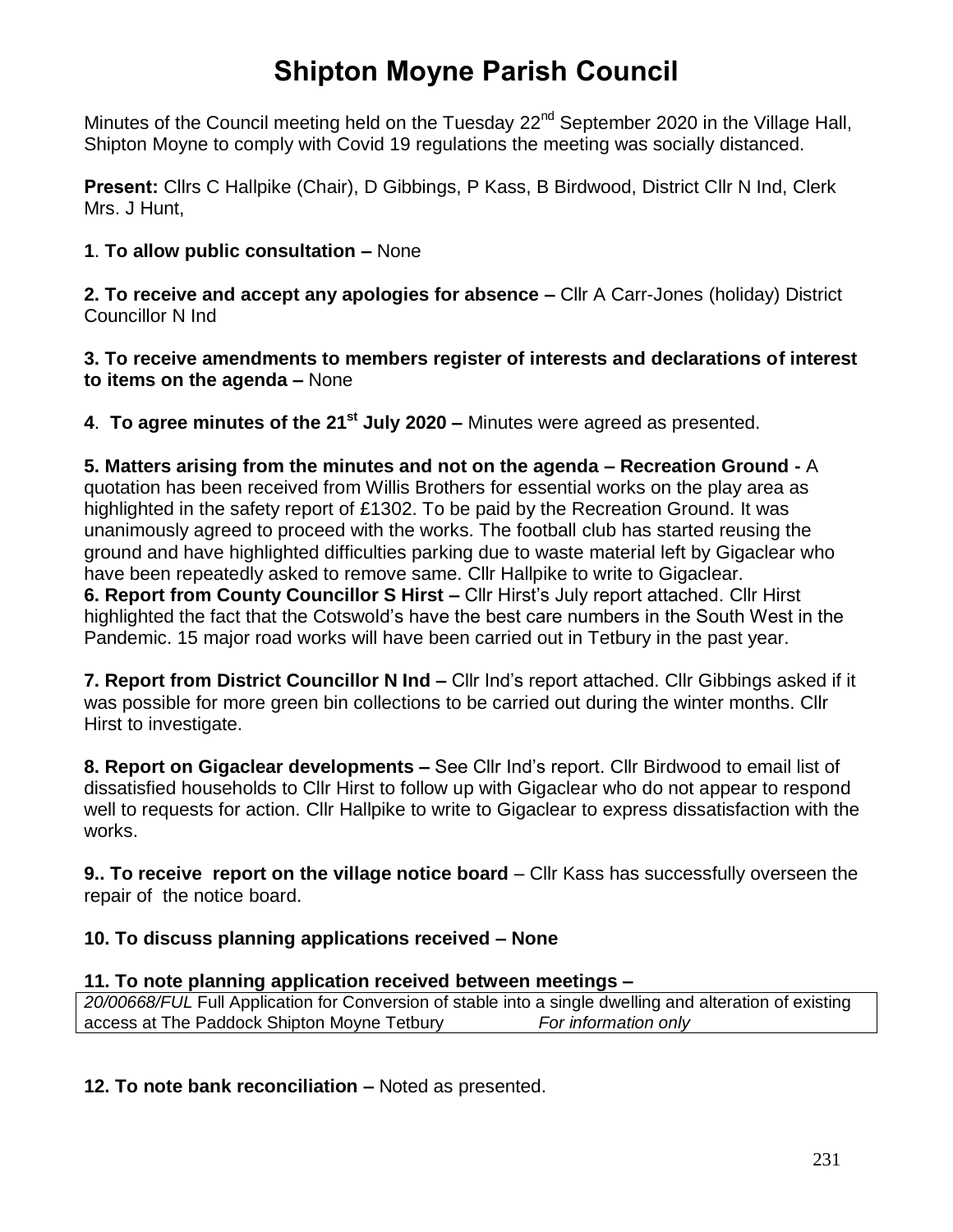# **Shipton Moyne Parish Council**

Minutes of the Council meeting held on the Tuesday 22<sup>nd</sup> September 2020 in the Village Hall, Shipton Moyne to comply with Covid 19 regulations the meeting was socially distanced.

**Present:** Cllrs C Hallpike (Chair), D Gibbings, P Kass, B Birdwood, District Cllr N Ind, Clerk Mrs. J Hunt,

#### **1**. **To allow public consultation –** None

**2. To receive and accept any apologies for absence –** Cllr A Carr-Jones (holiday) District Councillor N Ind

**3. To receive amendments to members register of interests and declarations of interest to items on the agenda –** None

**4**. **To agree minutes of the 21st July 2020 –** Minutes were agreed as presented.

**5. Matters arising from the minutes and not on the agenda – Recreation Ground -** A quotation has been received from Willis Brothers for essential works on the play area as highlighted in the safety report of £1302. To be paid by the Recreation Ground. It was unanimously agreed to proceed with the works. The football club has started reusing the ground and have highlighted difficulties parking due to waste material left by Gigaclear who have been repeatedly asked to remove same. Cllr Hallpike to write to Gigaclear. **6. Report from County Councillor S Hirst –** Cllr Hirst's July report attached. Cllr Hirst highlighted the fact that the Cotswold's have the best care numbers in the South West in the Pandemic. 15 major road works will have been carried out in Tetbury in the past year.

**7. Report from District Councillor N Ind –** Cllr Ind's report attached. Cllr Gibbings asked if it was possible for more green bin collections to be carried out during the winter months. Cllr Hirst to investigate.

**8. Report on Gigaclear developments –** See Cllr Ind's report. Cllr Birdwood to email list of dissatisfied households to Cllr Hirst to follow up with Gigaclear who do not appear to respond well to requests for action. Cllr Hallpike to write to Gigaclear to express dissatisfaction with the works.

**9.. To receive report on the village notice board** – Cllr Kass has successfully overseen the repair of the notice board.

### **10. To discuss planning applications received – None**

### **11. To note planning application received between meetings –**

*20/00668/FUL* Full Application for Conversion of stable into a single dwelling and alteration of existing access at The Paddock Shipton Moyne Tetbury *For information only*

**12. To note bank reconciliation –** Noted as presented.